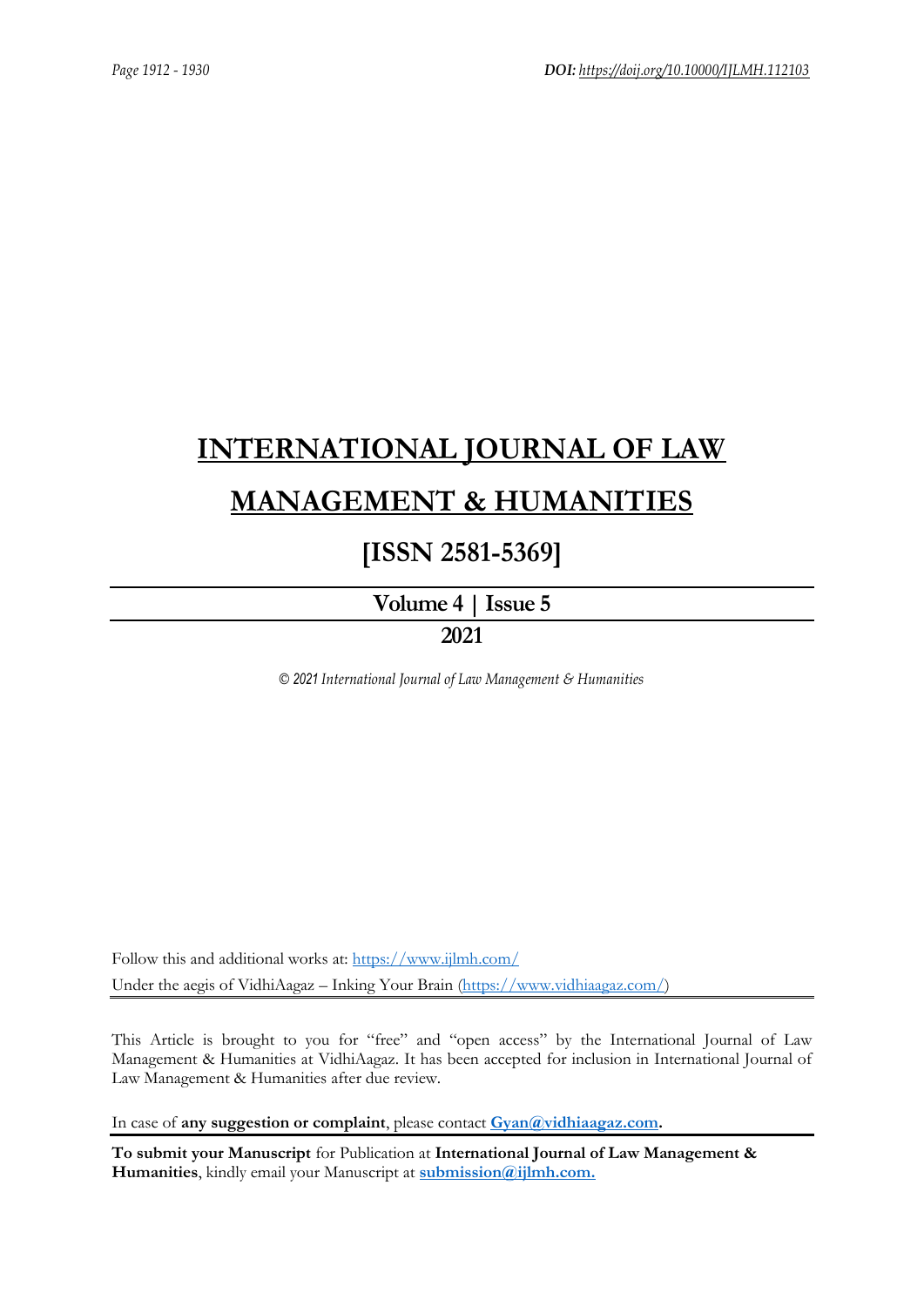# **[INTERNATIONAL JOURNAL OF LAW](https://www.ijlmh.com/)  [MANAGEMENT & HUMANITIES](https://www.ijlmh.com/)**

# **[ISSN 2581-5369]**

**[Volume 4 |](https://www.ijlmh.com/publications/volume-iv-issue-v/) Issue 5**

**2021**

*© 2021 International Journal of Law Management & Humanities*

Follow this and additional works at:<https://www.ijlmh.com/> Under the aegis of VidhiAagaz – Inking Your Brain [\(https://www.vidhiaagaz.com/\)](https://www.vidhiaagaz.com/)

This Article is brought to you for "free" and "open access" by the International Journal of Law Management & Humanities at VidhiAagaz. It has been accepted for inclusion in International Journal of Law Management & Humanities after due review.

In case of **any suggestion or complaint**, please contact **[Gyan@vidhiaagaz.com.](mailto:Gyan@vidhiaagaz.com)** 

**To submit your Manuscript** for Publication at **International Journal of Law Management & Humanities**, kindly email your Manuscript at **[submission@ijlmh.com.](mailto:submission@ijlmh.com)**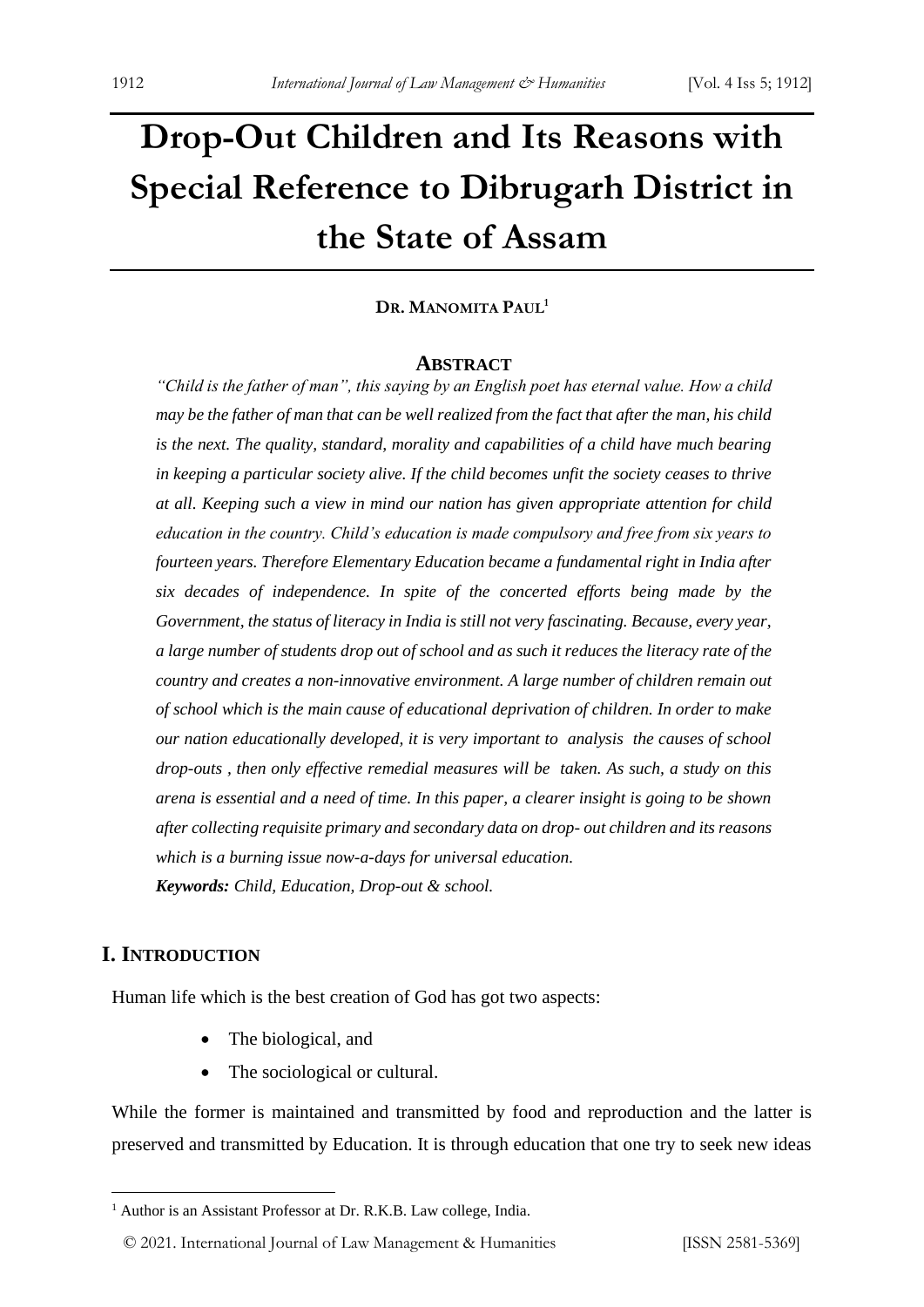# **Drop-Out Children and Its Reasons with Special Reference to Dibrugarh District in the State of Assam**

#### **DR. MANOMITA PAUL<sup>1</sup>**

#### **ABSTRACT**

*"Child is the father of man", this saying by an English poet has eternal value. How a child may be the father of man that can be well realized from the fact that after the man, his child is the next. The quality, standard, morality and capabilities of a child have much bearing in keeping a particular society alive. If the child becomes unfit the society ceases to thrive at all. Keeping such a view in mind our nation has given appropriate attention for child education in the country. Child's education is made compulsory and free from six years to fourteen years. Therefore Elementary Education became a fundamental right in India after six decades of independence. In spite of the concerted efforts being made by the Government, the status of literacy in India is still not very fascinating. Because, every year, a large number of students drop out of school and as such it reduces the literacy rate of the country and creates a non-innovative environment. A large number of children remain out of school which is the main cause of educational deprivation of children. In order to make our nation educationally developed, it is very important to analysis the causes of school drop-outs , then only effective remedial measures will be taken. As such, a study on this arena is essential and a need of time. In this paper, a clearer insight is going to be shown after collecting requisite primary and secondary data on drop- out children and its reasons which is a burning issue now-a-days for universal education. Keywords: Child, Education, Drop-out & school.*

#### **I. INTRODUCTION**

Human life which is the best creation of God has got two aspects:

- The biological, and
- The sociological or cultural.

While the former is maintained and transmitted by food and reproduction and the latter is preserved and transmitted by Education. It is through education that one try to seek new ideas

<sup>&</sup>lt;sup>1</sup> Author is an Assistant Professor at Dr. R.K.B. Law college, India.

<sup>© 2021.</sup> International Journal of [Law Management & Humanities](https://www.ijlmh.com/) [ISSN 2581-5369]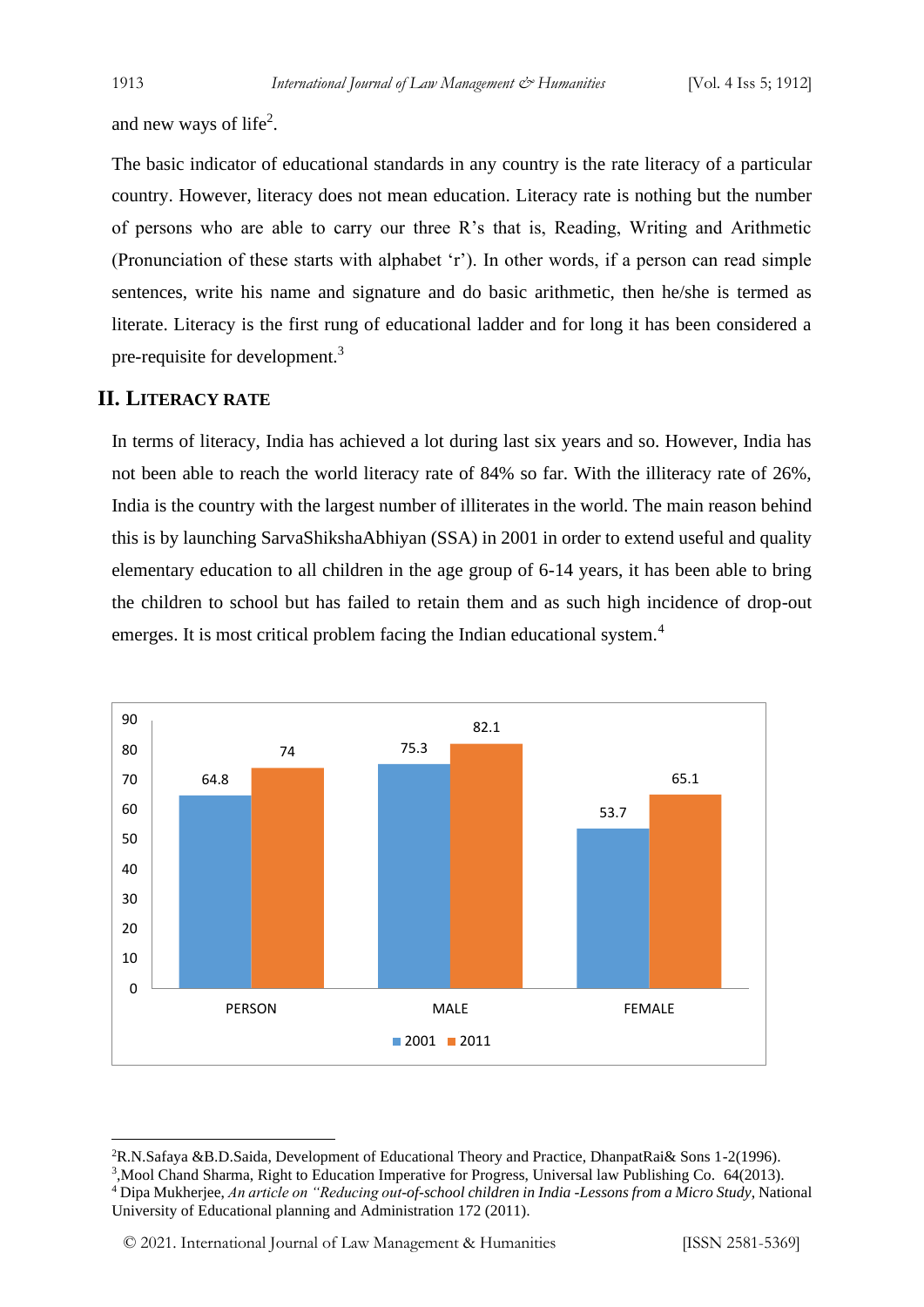and new ways of life<sup>2</sup>.

The basic indicator of educational standards in any country is the rate literacy of a particular country. However, literacy does not mean education. Literacy rate is nothing but the number of persons who are able to carry our three R's that is, Reading, Writing and Arithmetic (Pronunciation of these starts with alphabet 'r'). In other words, if a person can read simple sentences, write his name and signature and do basic arithmetic, then he/she is termed as literate. Literacy is the first rung of educational ladder and for long it has been considered a pre-requisite for development.<sup>3</sup>

#### **II. LITERACY RATE**

In terms of literacy, India has achieved a lot during last six years and so. However, India has not been able to reach the world literacy rate of 84% so far. With the illiteracy rate of 26%, India is the country with the largest number of illiterates in the world. The main reason behind this is by launching SarvaShikshaAbhiyan (SSA) in 2001 in order to extend useful and quality elementary education to all children in the age group of 6-14 years, it has been able to bring the children to school but has failed to retain them and as such high incidence of drop-out emerges. It is most critical problem facing the Indian educational system.<sup>4</sup>



<sup>2</sup>R.N.Safaya &B.D.Saida, Development of Educational Theory and Practice, DhanpatRai& Sons 1-2(1996).

<sup>3</sup> ,Mool Chand Sharma, Right to Education Imperative for Progress, Universal law Publishing Co. 64(2013).

<sup>4</sup> Dipa Mukherjee, *An article on "Reducing out-of-school children in India -Lessons from a Micro Study*, National University of Educational planning and Administration 172 (2011).

<sup>© 2021.</sup> International Journal of [Law Management & Humanities](https://www.ijlmh.com/) [ISSN 2581-5369]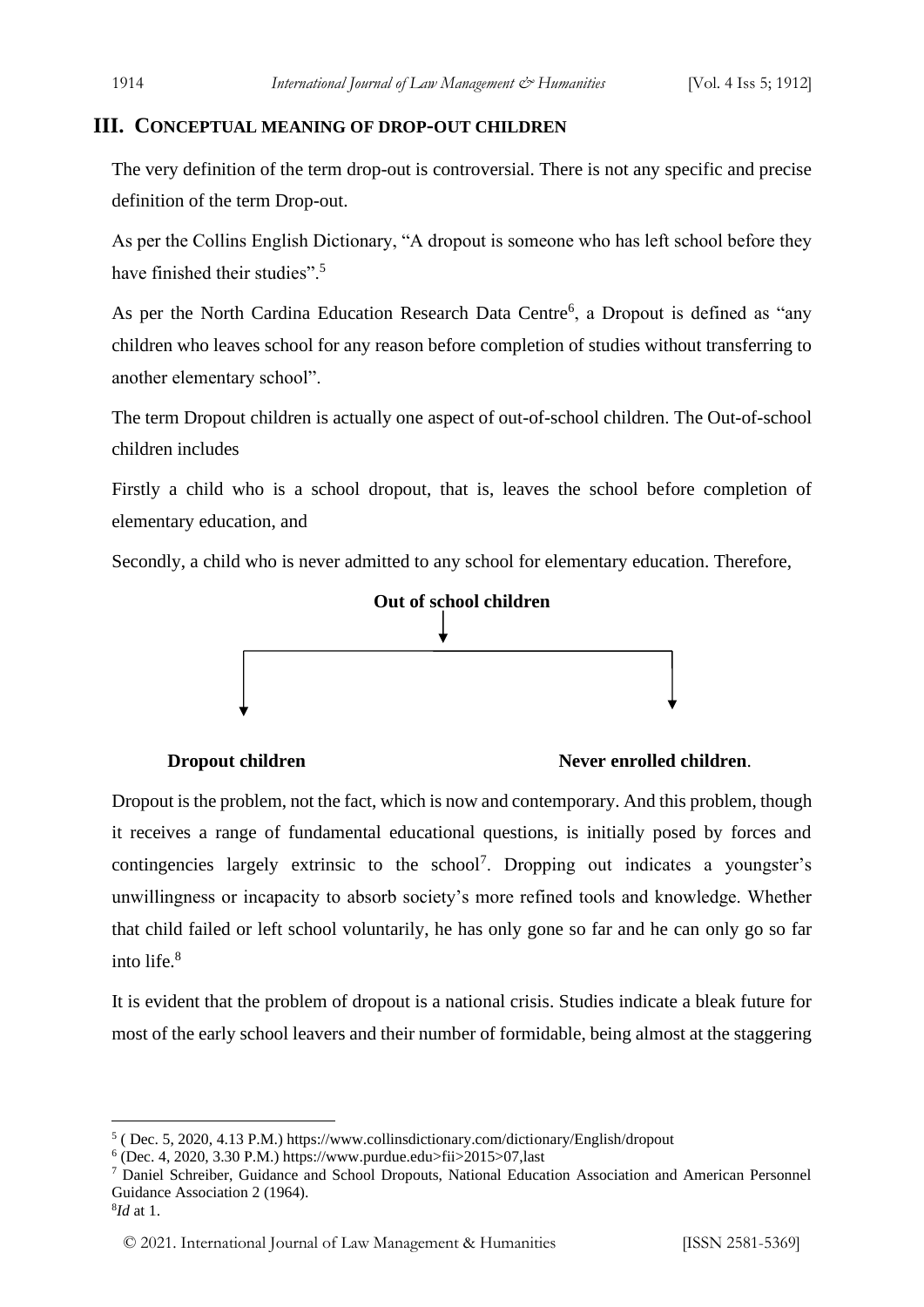#### **III. CONCEPTUAL MEANING OF DROP-OUT CHILDREN**

The very definition of the term drop-out is controversial. There is not any specific and precise definition of the term Drop-out.

As per the Collins English Dictionary, "A dropout is someone who has left school before they have finished their studies".<sup>5</sup>

As per the North Cardina Education Research Data Centre<sup>6</sup>, a Dropout is defined as "any children who leaves school for any reason before completion of studies without transferring to another elementary school".

The term Dropout children is actually one aspect of out-of-school children. The Out-of-school children includes

Firstly a child who is a school dropout, that is, leaves the school before completion of elementary education, and

Secondly, a child who is never admitted to any school for elementary education. Therefore,



#### **Dropout children Never enrolled children**.

Dropout is the problem, not the fact, which is now and contemporary. And this problem, though it receives a range of fundamental educational questions, is initially posed by forces and contingencies largely extrinsic to the school<sup>7</sup>. Dropping out indicates a youngster's unwillingness or incapacity to absorb society's more refined tools and knowledge. Whether that child failed or left school voluntarily, he has only gone so far and he can only go so far into life.<sup>8</sup>

It is evident that the problem of dropout is a national crisis. Studies indicate a bleak future for most of the early school leavers and their number of formidable, being almost at the staggering

<sup>5</sup> ( Dec. 5, 2020, 4.13 P.M.) https://www.collinsdictionary.com/dictionary/English/dropout

 $6$  (Dec. 4, 2020, 3.30 P.M.) https://www.purdue.edu>fii>2015>07,last

<sup>7</sup> Daniel Schreiber, Guidance and School Dropouts, National Education Association and American Personnel Guidance Association 2 (1964).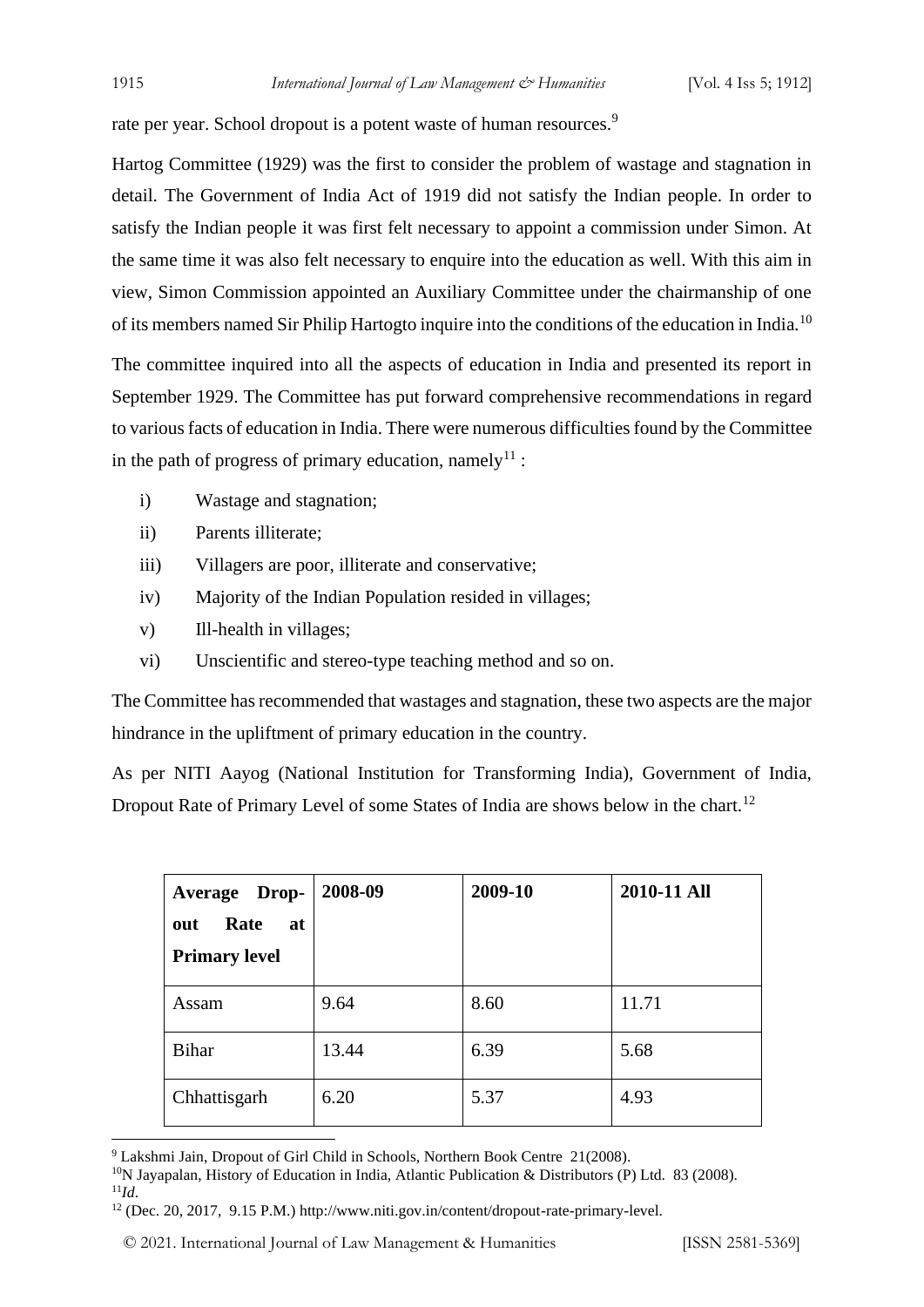rate per year. School dropout is a potent waste of human resources.<sup>9</sup>

Hartog Committee (1929) was the first to consider the problem of wastage and stagnation in detail. The Government of India Act of 1919 did not satisfy the Indian people. In order to satisfy the Indian people it was first felt necessary to appoint a commission under Simon. At the same time it was also felt necessary to enquire into the education as well. With this aim in view, Simon Commission appointed an Auxiliary Committee under the chairmanship of one of its members named Sir Philip Hartogto inquire into the conditions of the education in India.<sup>10</sup>

The committee inquired into all the aspects of education in India and presented its report in September 1929. The Committee has put forward comprehensive recommendations in regard to various facts of education in India. There were numerous difficulties found by the Committee in the path of progress of primary education, namely<sup>11</sup> :

- i) Wastage and stagnation;
- ii) Parents illiterate;
- iii) Villagers are poor, illiterate and conservative;
- iv) Majority of the Indian Population resided in villages;
- v) Ill-health in villages;
- vi) Unscientific and stereo-type teaching method and so on.

The Committee has recommended that wastages and stagnation, these two aspects are the major hindrance in the upliftment of primary education in the country.

As per NITI Aayog (National Institution for Transforming India), Government of India, Dropout Rate of Primary Level of some States of India are shows below in the chart.<sup>12</sup>

| <b>Average Drop-</b><br>Rate<br>at<br>out<br><b>Primary level</b> | 2008-09 | 2009-10 | 2010-11 All |
|-------------------------------------------------------------------|---------|---------|-------------|
| Assam                                                             | 9.64    | 8.60    | 11.71       |
| <b>Bihar</b>                                                      | 13.44   | 6.39    | 5.68        |
| Chhattisgarh                                                      | 6.20    | 5.37    | 4.93        |

<sup>9</sup> Lakshmi Jain, Dropout of Girl Child in Schools, Northern Book Centre 21(2008).

<sup>11</sup>*Id*.

<sup>&</sup>lt;sup>10</sup>N Jayapalan, History of Education in India, Atlantic Publication & Distributors (P) Ltd. 83 (2008).

<sup>12</sup> (Dec. 20, 2017, 9.15 P.M.) http://www.niti.gov.in/content/dropout-rate-primary-level.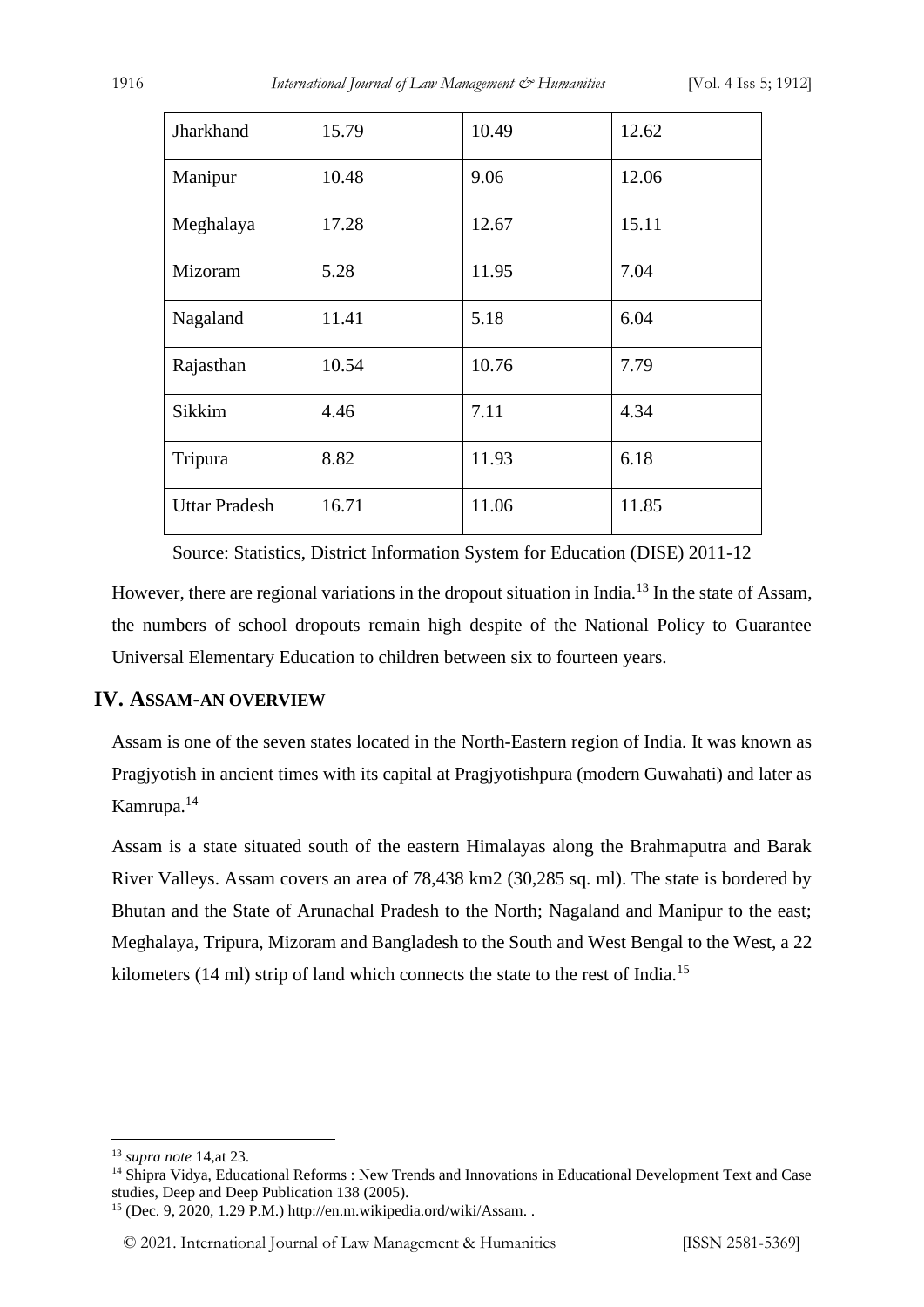| Jharkhand            | 15.79 | 10.49 | 12.62 |
|----------------------|-------|-------|-------|
| Manipur              | 10.48 | 9.06  | 12.06 |
| Meghalaya            | 17.28 | 12.67 | 15.11 |
| Mizoram              | 5.28  | 11.95 | 7.04  |
| Nagaland             | 11.41 | 5.18  | 6.04  |
| Rajasthan            | 10.54 | 10.76 | 7.79  |
| Sikkim               | 4.46  | 7.11  | 4.34  |
| Tripura              | 8.82  | 11.93 | 6.18  |
| <b>Uttar Pradesh</b> | 16.71 | 11.06 | 11.85 |

Source: Statistics, District Information System for Education (DISE) 2011-12

However, there are regional variations in the dropout situation in India.<sup>13</sup> In the state of Assam, the numbers of school dropouts remain high despite of the National Policy to Guarantee Universal Elementary Education to children between six to fourteen years.

#### **IV. ASSAM-AN OVERVIEW**

Assam is one of the seven states located in the North-Eastern region of India. It was known as Pragjyotish in ancient times with its capital at Pragjyotishpura (modern Guwahati) and later as Kamrupa.<sup>14</sup>

Assam is a state situated south of the eastern Himalayas along the Brahmaputra and Barak River Valleys. Assam covers an area of 78,438 km2 (30,285 sq. ml). The state is bordered by Bhutan and the State of Arunachal Pradesh to the North; Nagaland and Manipur to the east; Meghalaya, Tripura, Mizoram and Bangladesh to the South and West Bengal to the West, a 22 kilometers (14 ml) strip of land which connects the state to the rest of India.<sup>15</sup>

<sup>13</sup> *supra note* 14,at 23.

<sup>&</sup>lt;sup>14</sup> Shipra Vidya, Educational Reforms : New Trends and Innovations in Educational Development Text and Case studies, Deep and Deep Publication 138 (2005).

<sup>15</sup> (Dec. 9, 2020, 1.29 P.M.) http://en.m.wikipedia.ord/wiki/Assam. .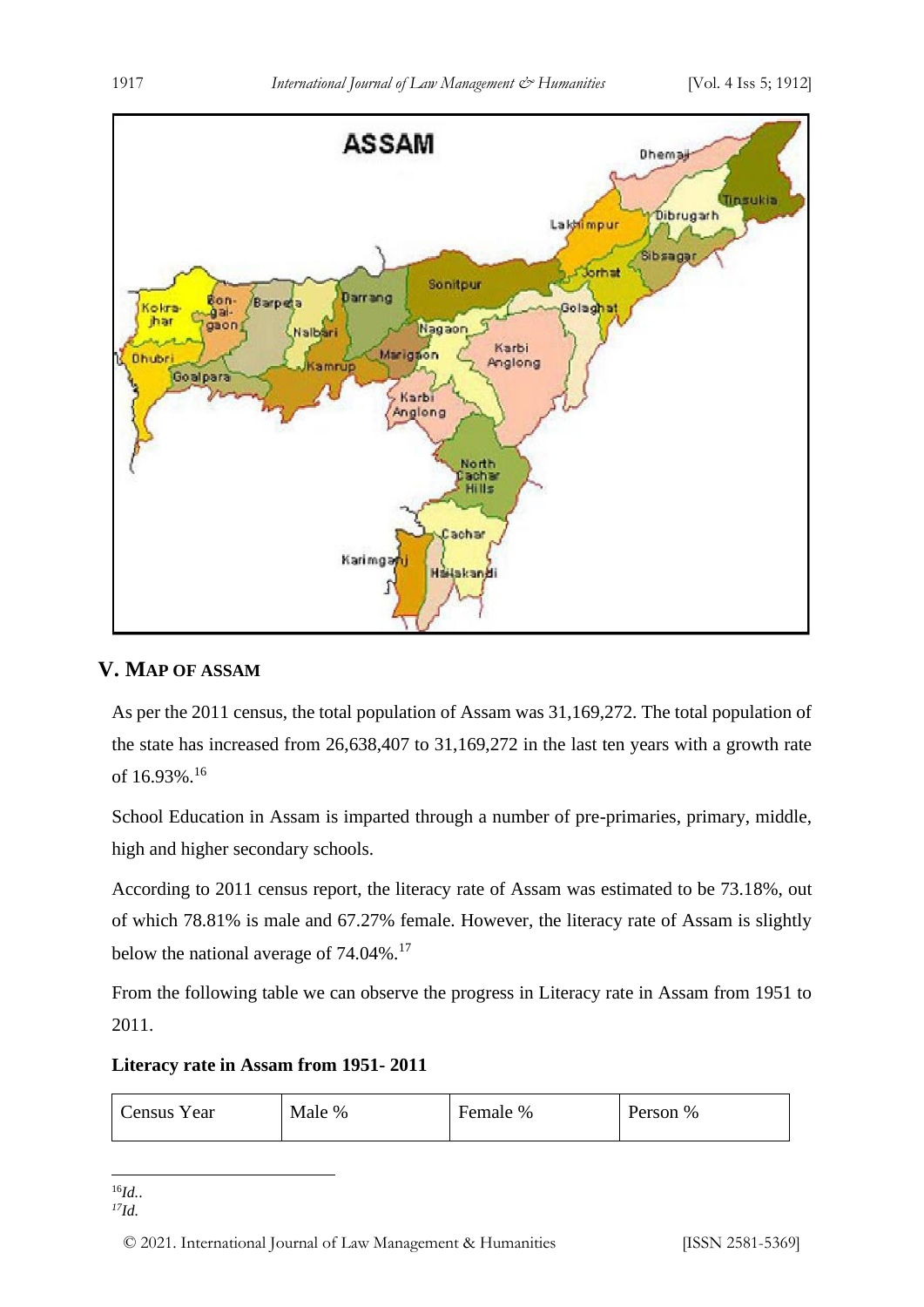

### **V. MAP OF ASSAM**

As per the 2011 census, the total population of Assam was 31,169,272. The total population of the state has increased from 26,638,407 to 31,169,272 in the last ten years with a growth rate of 16.93%.<sup>16</sup>

School Education in Assam is imparted through a number of pre-primaries, primary, middle, high and higher secondary schools.

According to 2011 census report, the literacy rate of Assam was estimated to be 73.18%, out of which 78.81% is male and 67.27% female. However, the literacy rate of Assam is slightly below the national average of 74.04%.<sup>17</sup>

From the following table we can observe the progress in Literacy rate in Assam from 1951 to 2011.

**Literacy rate in Assam from 1951- 2011**

| $c$ ensus $\cdot$<br>Year | Male % | Female % | Person % |
|---------------------------|--------|----------|----------|
|                           |        |          |          |

<sup>16</sup>*Id.*.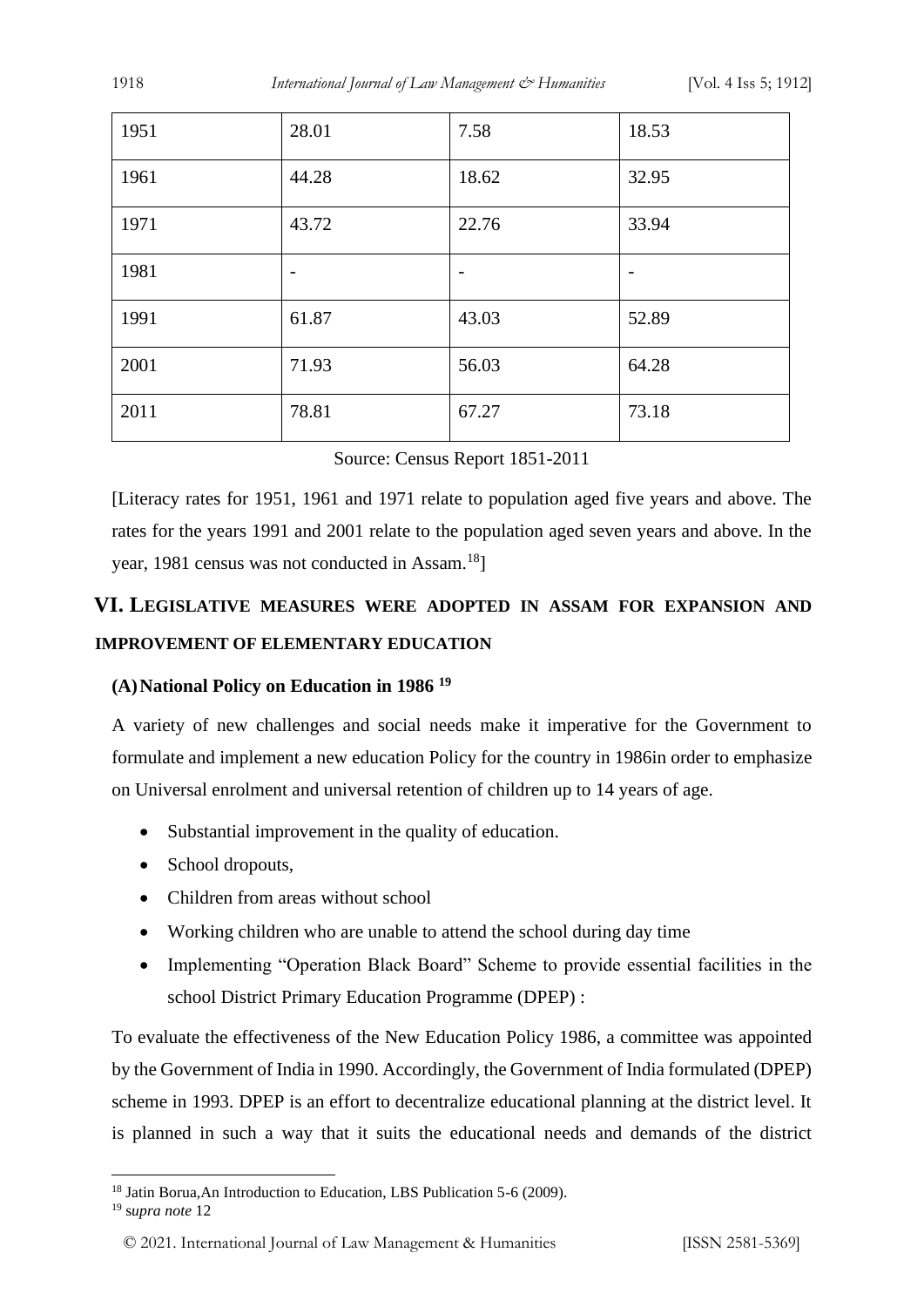| 1951 | 28.01                    | 7.58                     | 18.53 |
|------|--------------------------|--------------------------|-------|
| 1961 | 44.28                    | 18.62                    | 32.95 |
| 1971 | 43.72                    | 22.76                    | 33.94 |
| 1981 | $\overline{\phantom{a}}$ | $\overline{\phantom{a}}$ |       |
| 1991 | 61.87                    | 43.03                    | 52.89 |
| 2001 | 71.93                    | 56.03                    | 64.28 |
| 2011 | 78.81                    | 67.27                    | 73.18 |

|  |  |  | Source: Census Report 1851-2011 |
|--|--|--|---------------------------------|
|--|--|--|---------------------------------|

[Literacy rates for 1951, 1961 and 1971 relate to population aged five years and above. The rates for the years 1991 and 2001 relate to the population aged seven years and above. In the year, 1981 census was not conducted in Assam.<sup>18</sup>]

## **VI. LEGISLATIVE MEASURES WERE ADOPTED IN ASSAM FOR EXPANSION AND IMPROVEMENT OF ELEMENTARY EDUCATION**

#### **(A)National Policy on Education in 1986 <sup>19</sup>**

A variety of new challenges and social needs make it imperative for the Government to formulate and implement a new education Policy for the country in 1986in order to emphasize on Universal enrolment and universal retention of children up to 14 years of age.

- Substantial improvement in the quality of education.
- School dropouts,
- Children from areas without school
- Working children who are unable to attend the school during day time
- Implementing "Operation Black Board" Scheme to provide essential facilities in the school District Primary Education Programme (DPEP) :

To evaluate the effectiveness of the New Education Policy 1986, a committee was appointed by the Government of India in 1990. Accordingly, the Government of India formulated (DPEP) scheme in 1993. DPEP is an effort to decentralize educational planning at the district level. It is planned in such a way that it suits the educational needs and demands of the district

<sup>&</sup>lt;sup>18</sup> Jatin Borua,An Introduction to Education, LBS Publication 5-6 (2009).

<sup>19</sup> s*upra note* 12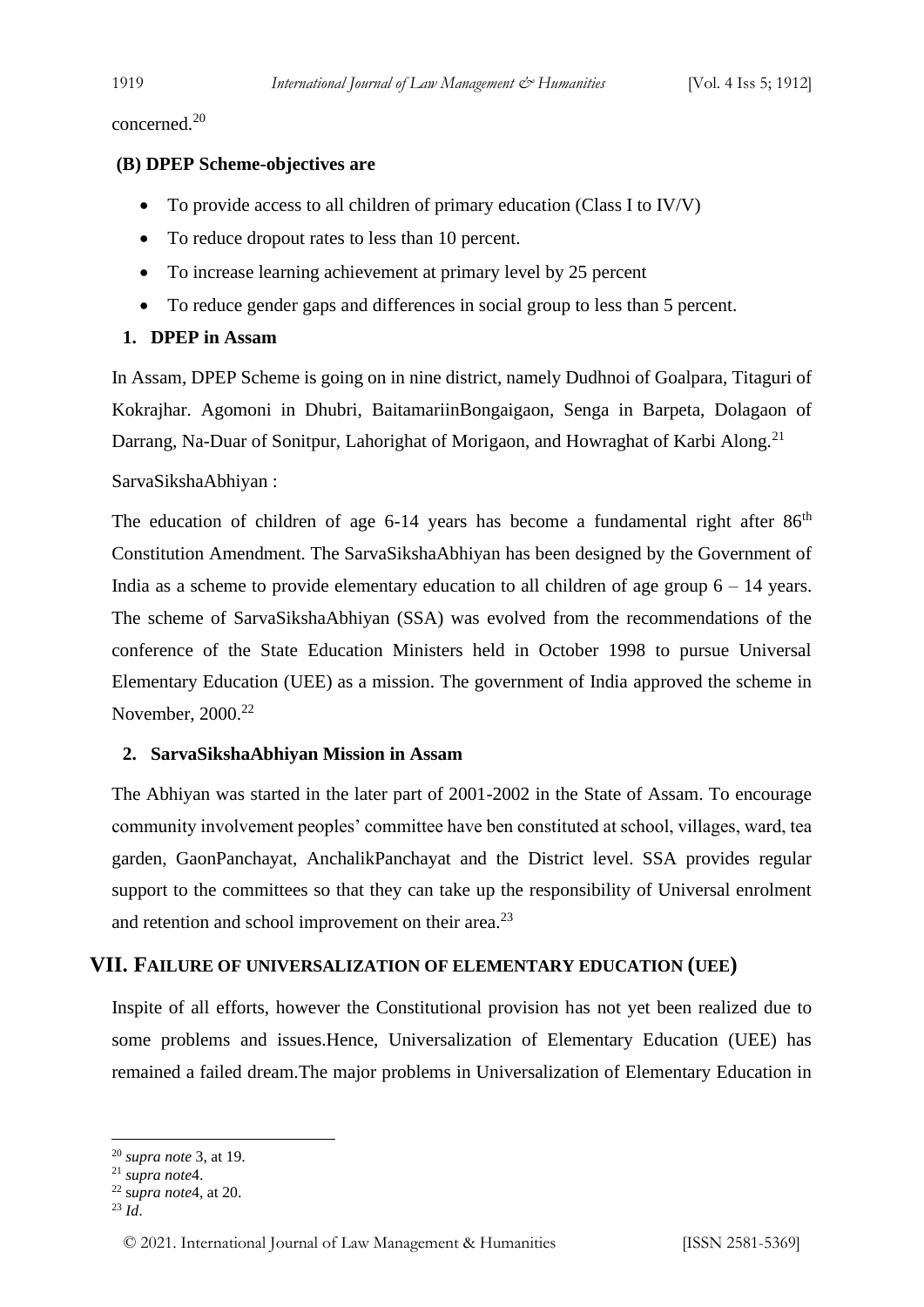concerned.<sup>20</sup>

#### **(B) DPEP Scheme-objectives are**

- To provide access to all children of primary education (Class I to IV/V)
- To reduce dropout rates to less than 10 percent.
- To increase learning achievement at primary level by 25 percent
- To reduce gender gaps and differences in social group to less than 5 percent.

#### **1. DPEP in Assam**

In Assam, DPEP Scheme is going on in nine district, namely Dudhnoi of Goalpara, Titaguri of Kokrajhar. Agomoni in Dhubri, BaitamariinBongaigaon, Senga in Barpeta, Dolagaon of Darrang, Na-Duar of Sonitpur, Lahorighat of Morigaon, and Howraghat of Karbi Along.<sup>21</sup>

#### SarvaSikshaAbhiyan :

The education of children of age  $6-14$  years has become a fundamental right after  $86<sup>th</sup>$ Constitution Amendment. The SarvaSikshaAbhiyan has been designed by the Government of India as a scheme to provide elementary education to all children of age group  $6 - 14$  years. The scheme of SarvaSikshaAbhiyan (SSA) was evolved from the recommendations of the conference of the State Education Ministers held in October 1998 to pursue Universal Elementary Education (UEE) as a mission. The government of India approved the scheme in November, 2000.<sup>22</sup>

#### **2. SarvaSikshaAbhiyan Mission in Assam**

The Abhiyan was started in the later part of 2001-2002 in the State of Assam. To encourage community involvement peoples' committee have ben constituted at school, villages, ward, tea garden, GaonPanchayat, AnchalikPanchayat and the District level. SSA provides regular support to the committees so that they can take up the responsibility of Universal enrolment and retention and school improvement on their area.<sup>23</sup>

#### **VII. FAILURE OF UNIVERSALIZATION OF ELEMENTARY EDUCATION (UEE)**

Inspite of all efforts, however the Constitutional provision has not yet been realized due to some problems and issues.Hence, Universalization of Elementary Education (UEE) has remained a failed dream.The major problems in Universalization of Elementary Education in

<sup>20</sup> *supra note* 3, at 19.

<sup>21</sup> *supra note*4.

<sup>22</sup> s*upra note*4, at 20.

 $^{23}$  *Id.*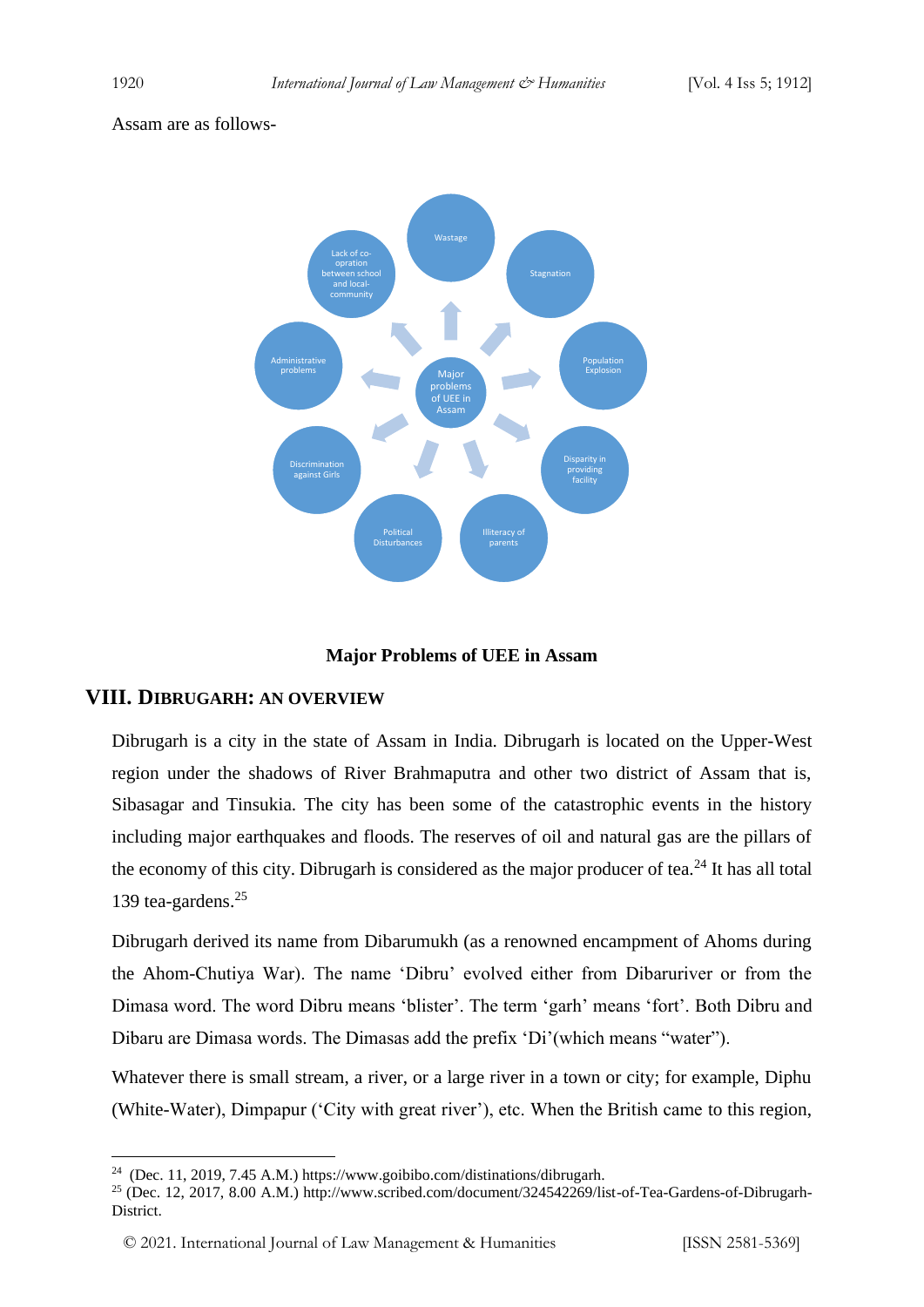#### Assam are as follows-



#### **Major Problems of UEE in Assam**

#### **VIII. DIBRUGARH: AN OVERVIEW**

Dibrugarh is a city in the state of Assam in India. Dibrugarh is located on the Upper-West region under the shadows of River Brahmaputra and other two district of Assam that is, Sibasagar and Tinsukia. The city has been some of the catastrophic events in the history including major earthquakes and floods. The reserves of oil and natural gas are the pillars of the economy of this city. Dibrugarh is considered as the major producer of tea.<sup>24</sup> It has all total 139 tea-gardens.<sup>25</sup>

Dibrugarh derived its name from Dibarumukh (as a renowned encampment of Ahoms during the Ahom-Chutiya War). The name 'Dibru' evolved either from Dibaruriver or from the Dimasa word. The word Dibru means 'blister'. The term 'garh' means 'fort'. Both Dibru and Dibaru are Dimasa words. The Dimasas add the prefix 'Di'(which means "water").

Whatever there is small stream, a river, or a large river in a town or city; for example, Diphu (White-Water), Dimpapur ('City with great river'), etc. When the British came to this region,

 $^{24}$  (Dec. 11, 2019, 7.45 A.M.) https://www.goibibo.com/distinations/dibrugarh.

<sup>&</sup>lt;sup>25</sup> (Dec. 12, 2017, 8.00 A.M.) http://www.scribed.com/document/324542269/list-of-Tea-Gardens-of-Dibrugarh-District.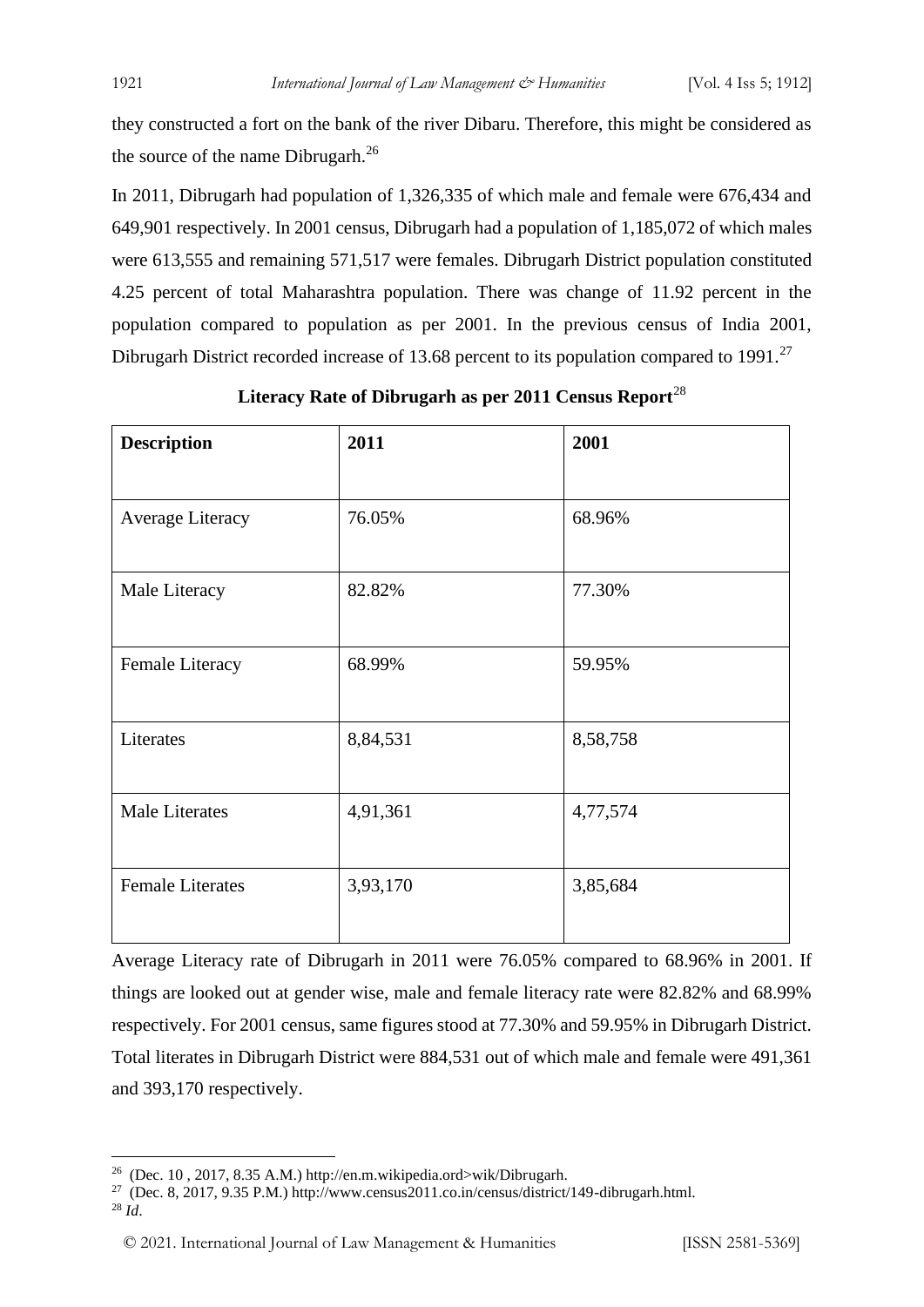they constructed a fort on the bank of the river Dibaru. Therefore, this might be considered as the source of the name Dibrugarh. $^{26}$ 

In 2011, Dibrugarh had population of 1,326,335 of which male and female were 676,434 and 649,901 respectively. In 2001 census, Dibrugarh had a population of 1,185,072 of which males were 613,555 and remaining 571,517 were females. Dibrugarh District population constituted 4.25 percent of total Maharashtra population. There was change of 11.92 percent in the population compared to population as per 2001. In the previous census of India 2001, Dibrugarh District recorded increase of 13.68 percent to its population compared to 1991.<sup>27</sup>

| <b>Description</b>      | 2011     | 2001     |
|-------------------------|----------|----------|
| Average Literacy        | 76.05%   | 68.96%   |
| Male Literacy           | 82.82%   | 77.30%   |
|                         |          |          |
| Female Literacy         | 68.99%   | 59.95%   |
| Literates               | 8,84,531 | 8,58,758 |
| <b>Male Literates</b>   | 4,91,361 | 4,77,574 |
| <b>Female Literates</b> | 3,93,170 | 3,85,684 |

**Literacy Rate of Dibrugarh as per 2011 Census Report**<sup>28</sup>

Average Literacy rate of Dibrugarh in 2011 were 76.05% compared to 68.96% in 2001. If things are looked out at gender wise, male and female literacy rate were 82.82% and 68.99% respectively. For 2001 census, same figures stood at 77.30% and 59.95% in Dibrugarh District. Total literates in Dibrugarh District were 884,531 out of which male and female were 491,361 and 393,170 respectively.

<sup>&</sup>lt;sup>26</sup> (Dec. 10, 2017, 8.35 A.M.) http://en.m.wikipedia.ord>wik/Dibrugarh.

<sup>&</sup>lt;sup>27</sup> (Dec. 8, 2017, 9.35 P.M.) http://www.census2011.co.in/census/district/149-dibrugarh.html.

<sup>28</sup> *Id*.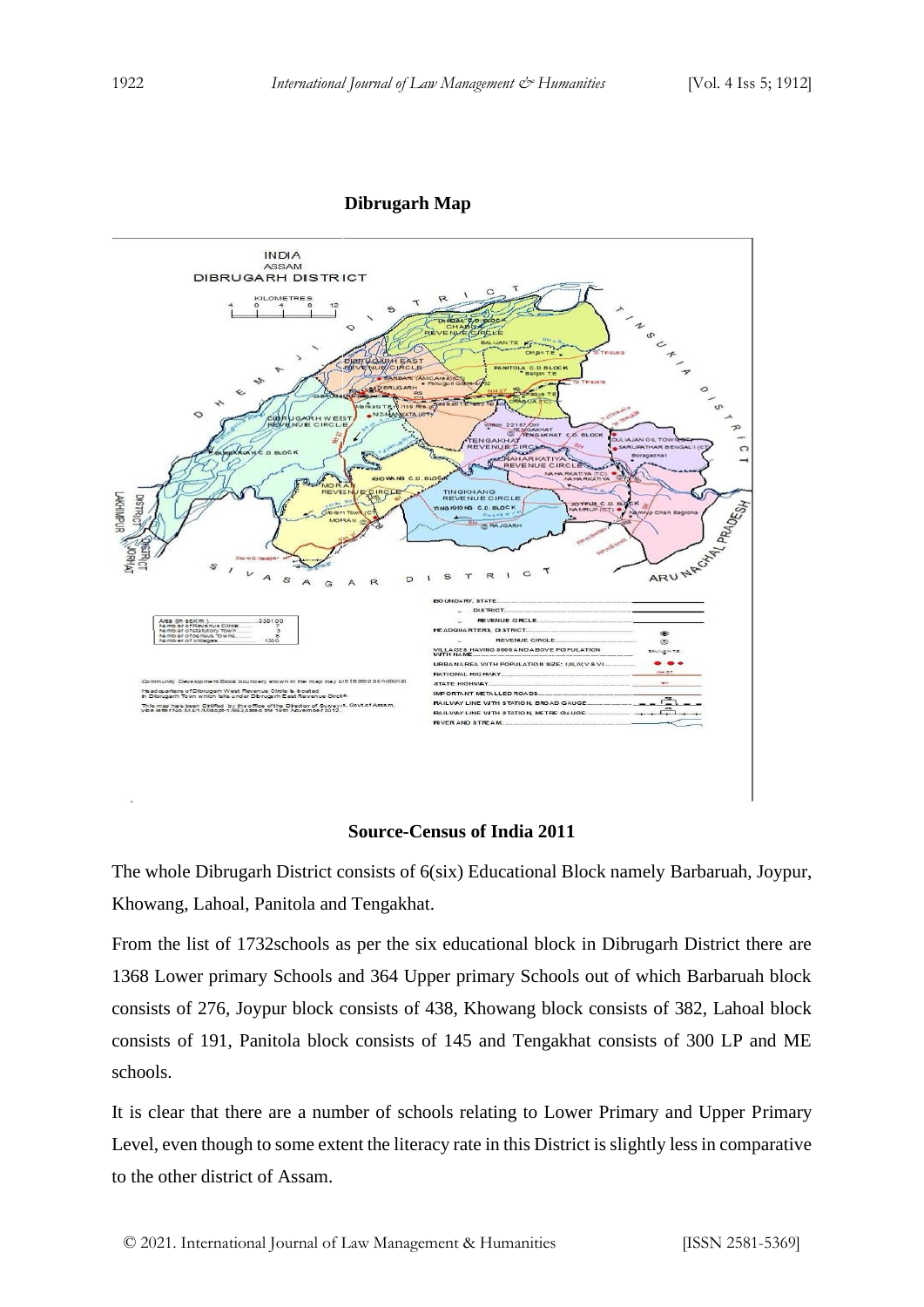#### **Dibrugarh Map**



#### **Source-Census of India 2011**

The whole Dibrugarh District consists of 6(six) Educational Block namely Barbaruah, Joypur, Khowang, Lahoal, Panitola and Tengakhat.

From the list of 1732schools as per the six educational block in Dibrugarh District there are 1368 Lower primary Schools and 364 Upper primary Schools out of which Barbaruah block consists of 276, Joypur block consists of 438, Khowang block consists of 382, Lahoal block consists of 191, Panitola block consists of 145 and Tengakhat consists of 300 LP and ME schools.

It is clear that there are a number of schools relating to Lower Primary and Upper Primary Level, even though to some extent the literacy rate in this District is slightly less in comparative to the other district of Assam.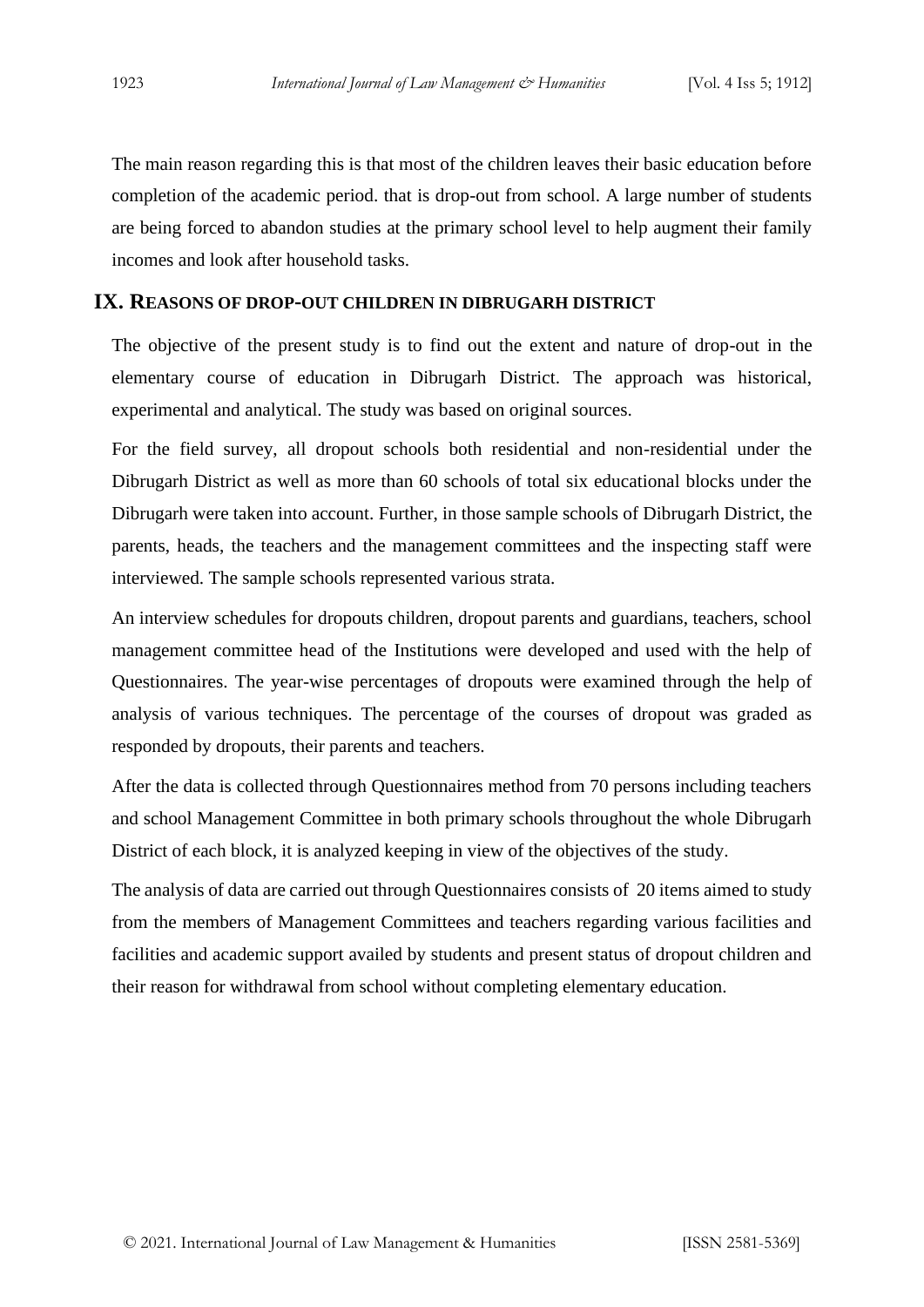The main reason regarding this is that most of the children leaves their basic education before completion of the academic period. that is drop-out from school. A large number of students are being forced to abandon studies at the primary school level to help augment their family incomes and look after household tasks.

#### **IX. REASONS OF DROP-OUT CHILDREN IN DIBRUGARH DISTRICT**

The objective of the present study is to find out the extent and nature of drop-out in the elementary course of education in Dibrugarh District. The approach was historical, experimental and analytical. The study was based on original sources.

For the field survey, all dropout schools both residential and non-residential under the Dibrugarh District as well as more than 60 schools of total six educational blocks under the Dibrugarh were taken into account. Further, in those sample schools of Dibrugarh District, the parents, heads, the teachers and the management committees and the inspecting staff were interviewed. The sample schools represented various strata.

An interview schedules for dropouts children, dropout parents and guardians, teachers, school management committee head of the Institutions were developed and used with the help of Questionnaires. The year-wise percentages of dropouts were examined through the help of analysis of various techniques. The percentage of the courses of dropout was graded as responded by dropouts, their parents and teachers.

After the data is collected through Questionnaires method from 70 persons including teachers and school Management Committee in both primary schools throughout the whole Dibrugarh District of each block, it is analyzed keeping in view of the objectives of the study.

The analysis of data are carried out through Questionnaires consists of 20 items aimed to study from the members of Management Committees and teachers regarding various facilities and facilities and academic support availed by students and present status of dropout children and their reason for withdrawal from school without completing elementary education.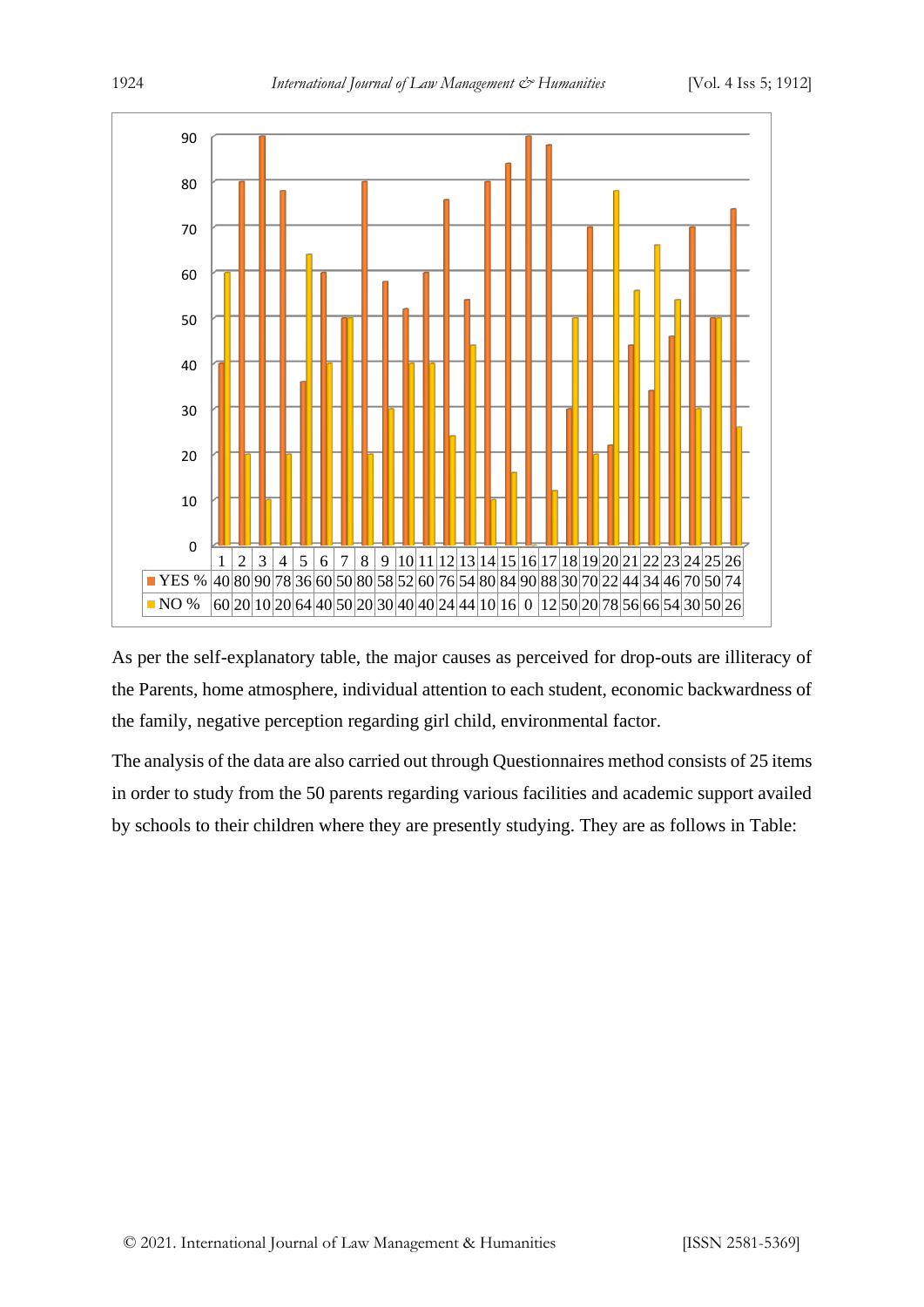

As per the self-explanatory table, the major causes as perceived for drop-outs are illiteracy of the Parents, home atmosphere, individual attention to each student, economic backwardness of the family, negative perception regarding girl child, environmental factor.

The analysis of the data are also carried out through Questionnaires method consists of 25 items in order to study from the 50 parents regarding various facilities and academic support availed by schools to their children where they are presently studying. They are as follows in Table: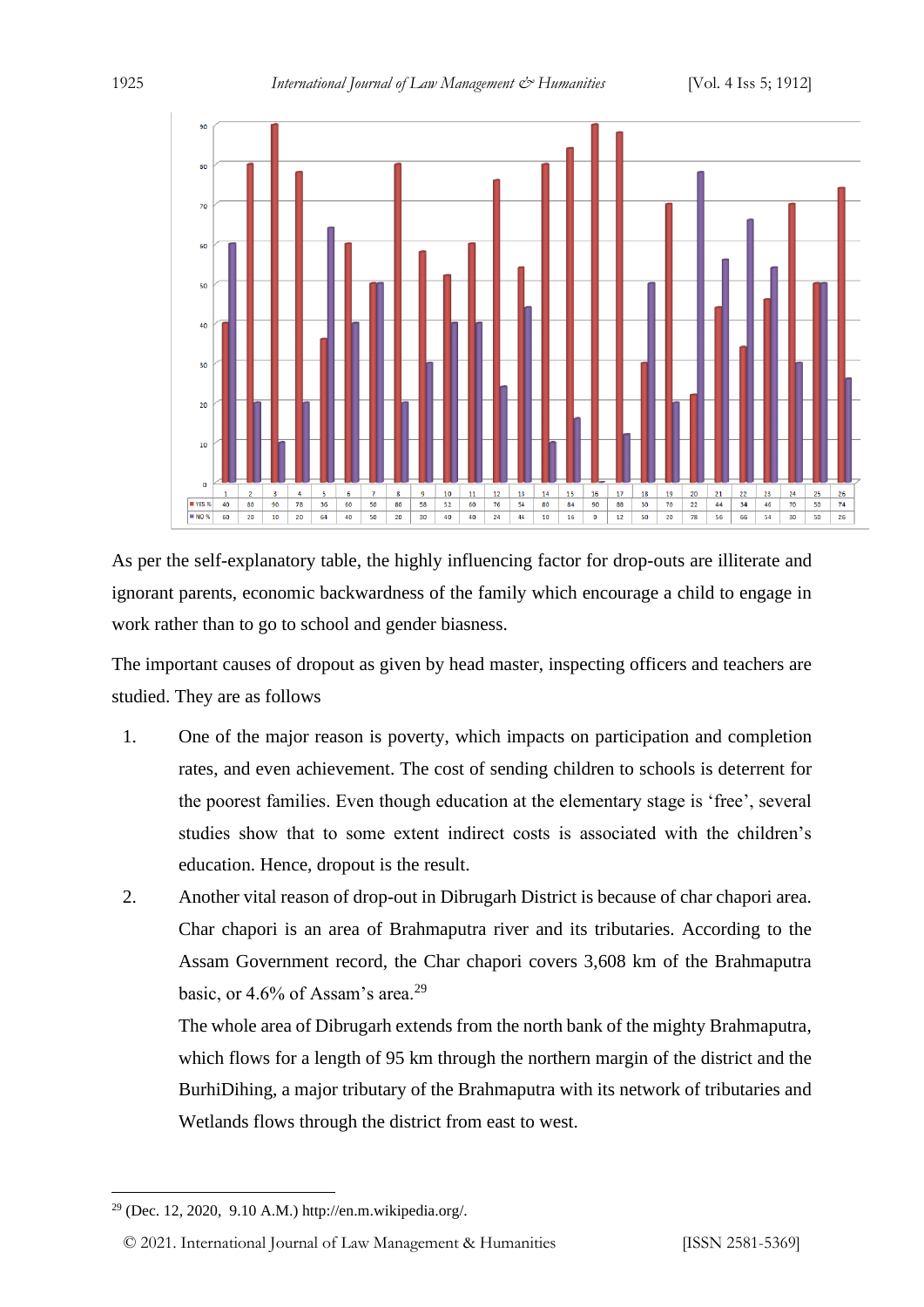

As per the self-explanatory table, the highly influencing factor for drop-outs are illiterate and ignorant parents, economic backwardness of the family which encourage a child to engage in work rather than to go to school and gender biasness.

The important causes of dropout as given by head master, inspecting officers and teachers are studied. They are as follows

- 1. One of the major reason is poverty, which impacts on participation and completion rates, and even achievement. The cost of sending children to schools is deterrent for the poorest families. Even though education at the elementary stage is 'free', several studies show that to some extent indirect costs is associated with the children's education. Hence, dropout is the result.
- 2. Another vital reason of drop-out in Dibrugarh District is because of char chapori area. Char chapori is an area of Brahmaputra river and its tributaries. According to the Assam Government record, the Char chapori covers 3,608 km of the Brahmaputra basic, or 4.6% of Assam's area.<sup>29</sup>

The whole area of Dibrugarh extends from the north bank of the mighty Brahmaputra, which flows for a length of 95 km through the northern margin of the district and the BurhiDihing, a major tributary of the Brahmaputra with its network of tributaries and Wetlands flows through the district from east to west.

<sup>29</sup> (Dec. 12, 2020, 9.10 A.M.) http://en.m.wikipedia.org/.

<sup>© 2021.</sup> International Journal of [Law Management & Humanities](https://www.ijlmh.com/) [ISSN 2581-5369]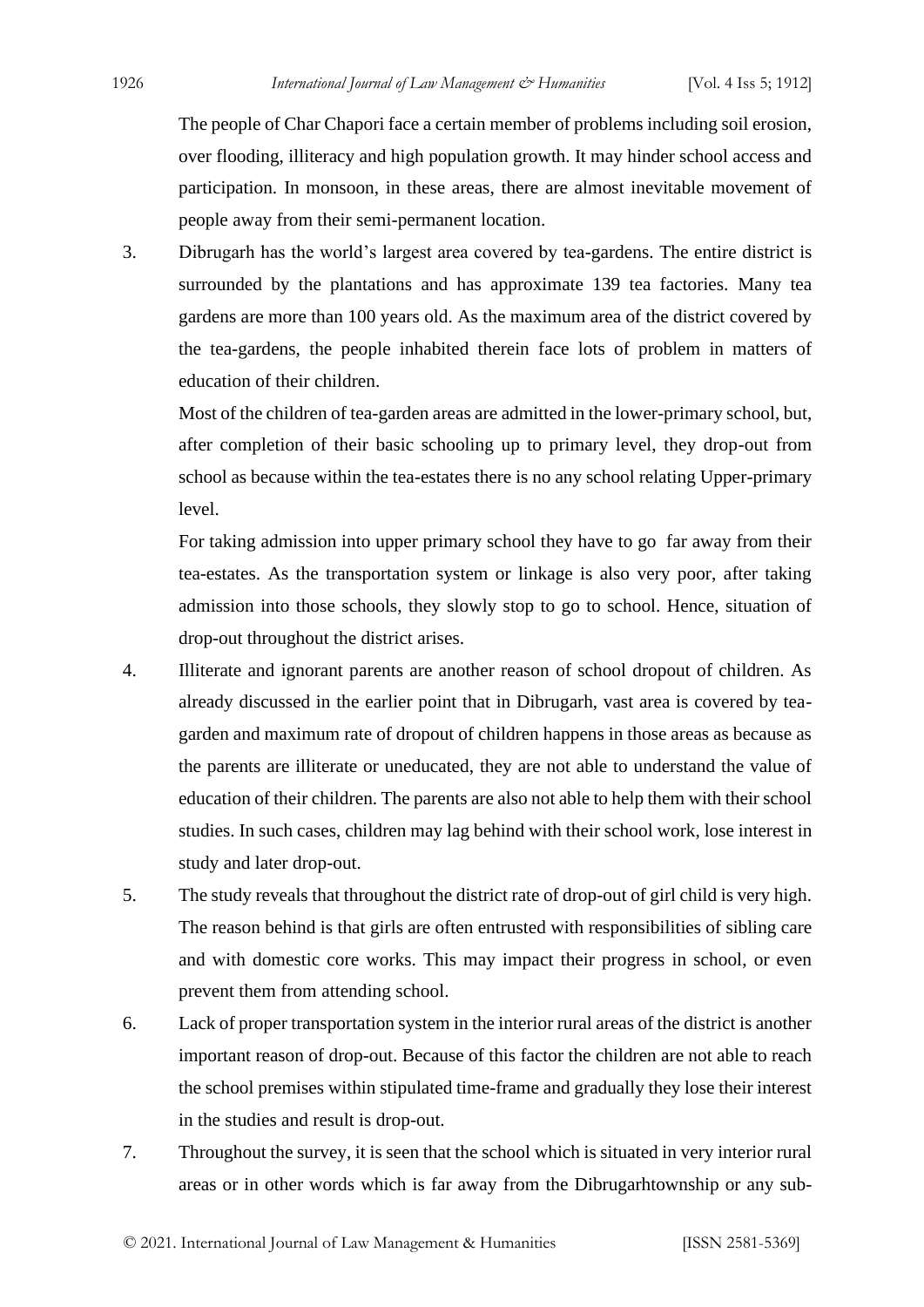The people of Char Chapori face a certain member of problems including soil erosion, over flooding, illiteracy and high population growth. It may hinder school access and participation. In monsoon, in these areas, there are almost inevitable movement of people away from their semi-permanent location.

3. Dibrugarh has the world's largest area covered by tea-gardens. The entire district is surrounded by the plantations and has approximate 139 tea factories. Many tea gardens are more than 100 years old. As the maximum area of the district covered by the tea-gardens, the people inhabited therein face lots of problem in matters of education of their children.

Most of the children of tea-garden areas are admitted in the lower-primary school, but, after completion of their basic schooling up to primary level, they drop-out from school as because within the tea-estates there is no any school relating Upper-primary level.

For taking admission into upper primary school they have to go far away from their tea-estates. As the transportation system or linkage is also very poor, after taking admission into those schools, they slowly stop to go to school. Hence, situation of drop-out throughout the district arises.

- 4. Illiterate and ignorant parents are another reason of school dropout of children. As already discussed in the earlier point that in Dibrugarh, vast area is covered by teagarden and maximum rate of dropout of children happens in those areas as because as the parents are illiterate or uneducated, they are not able to understand the value of education of their children. The parents are also not able to help them with their school studies. In such cases, children may lag behind with their school work, lose interest in study and later drop-out.
- 5. The study reveals that throughout the district rate of drop-out of girl child is very high. The reason behind is that girls are often entrusted with responsibilities of sibling care and with domestic core works. This may impact their progress in school, or even prevent them from attending school.
- 6. Lack of proper transportation system in the interior rural areas of the district is another important reason of drop-out. Because of this factor the children are not able to reach the school premises within stipulated time-frame and gradually they lose their interest in the studies and result is drop-out.
- 7. Throughout the survey, it is seen that the school which is situated in very interior rural areas or in other words which is far away from the Dibrugarhtownship or any sub-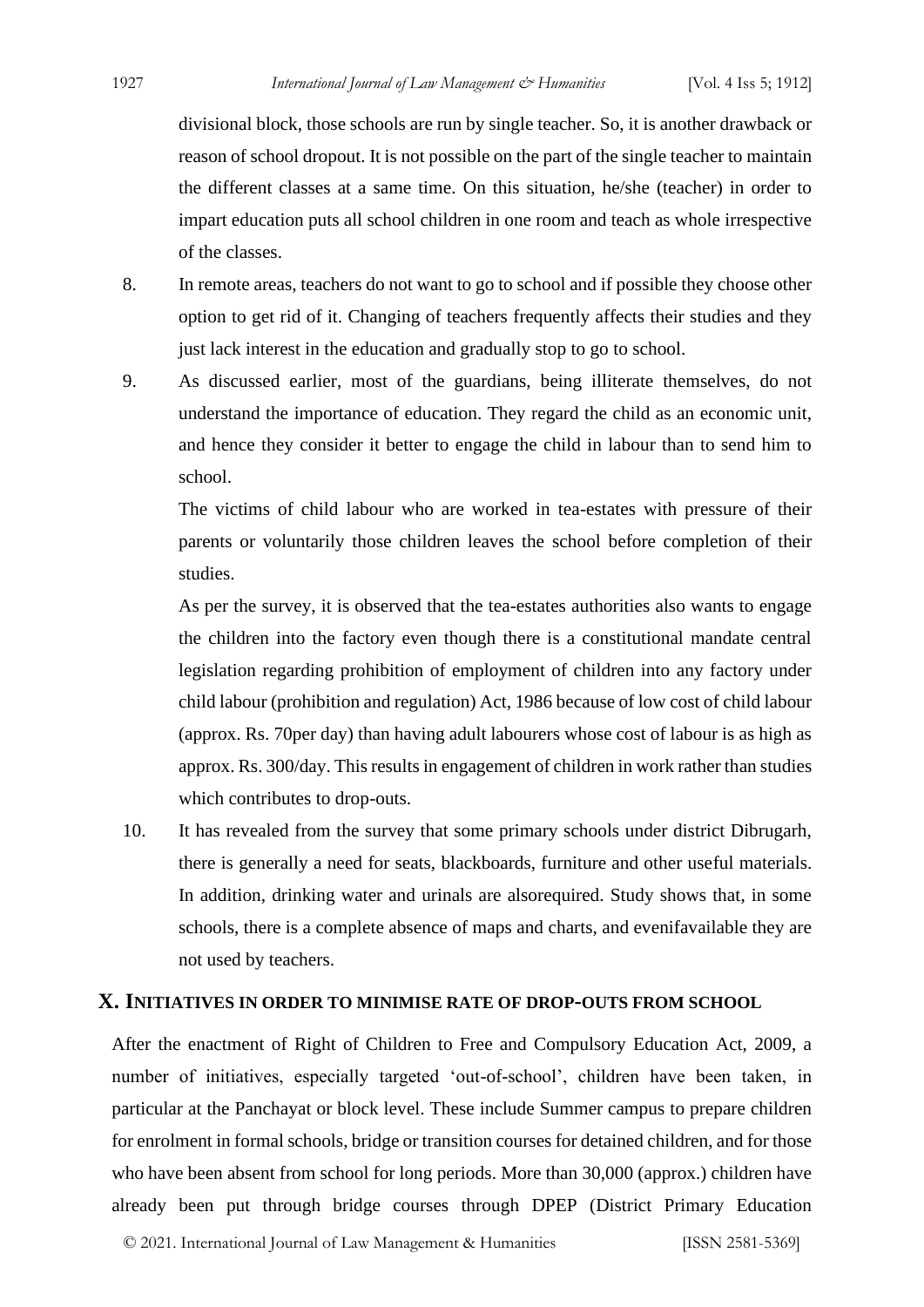divisional block, those schools are run by single teacher. So, it is another drawback or reason of school dropout. It is not possible on the part of the single teacher to maintain the different classes at a same time. On this situation, he/she (teacher) in order to impart education puts all school children in one room and teach as whole irrespective of the classes.

- 8. In remote areas, teachers do not want to go to school and if possible they choose other option to get rid of it. Changing of teachers frequently affects their studies and they just lack interest in the education and gradually stop to go to school.
- 9. As discussed earlier, most of the guardians, being illiterate themselves, do not understand the importance of education. They regard the child as an economic unit, and hence they consider it better to engage the child in labour than to send him to school.

The victims of child labour who are worked in tea-estates with pressure of their parents or voluntarily those children leaves the school before completion of their studies.

As per the survey, it is observed that the tea-estates authorities also wants to engage the children into the factory even though there is a constitutional mandate central legislation regarding prohibition of employment of children into any factory under child labour (prohibition and regulation) Act, 1986 because of low cost of child labour (approx. Rs. 70per day) than having adult labourers whose cost of labour is as high as approx. Rs. 300/day. This results in engagement of children in work rather than studies which contributes to drop-outs.

10. It has revealed from the survey that some primary schools under district Dibrugarh, there is generally a need for seats, blackboards, furniture and other useful materials. In addition, drinking water and urinals are alsorequired. Study shows that, in some schools, there is a complete absence of maps and charts, and evenifavailable they are not used by teachers.

#### **X. INITIATIVES IN ORDER TO MINIMISE RATE OF DROP-OUTS FROM SCHOOL**

After the enactment of Right of Children to Free and Compulsory Education Act, 2009, a number of initiatives, especially targeted 'out-of-school', children have been taken, in particular at the Panchayat or block level. These include Summer campus to prepare children for enrolment in formal schools, bridge or transition courses for detained children, and for those who have been absent from school for long periods. More than 30,000 (approx.) children have already been put through bridge courses through DPEP (District Primary Education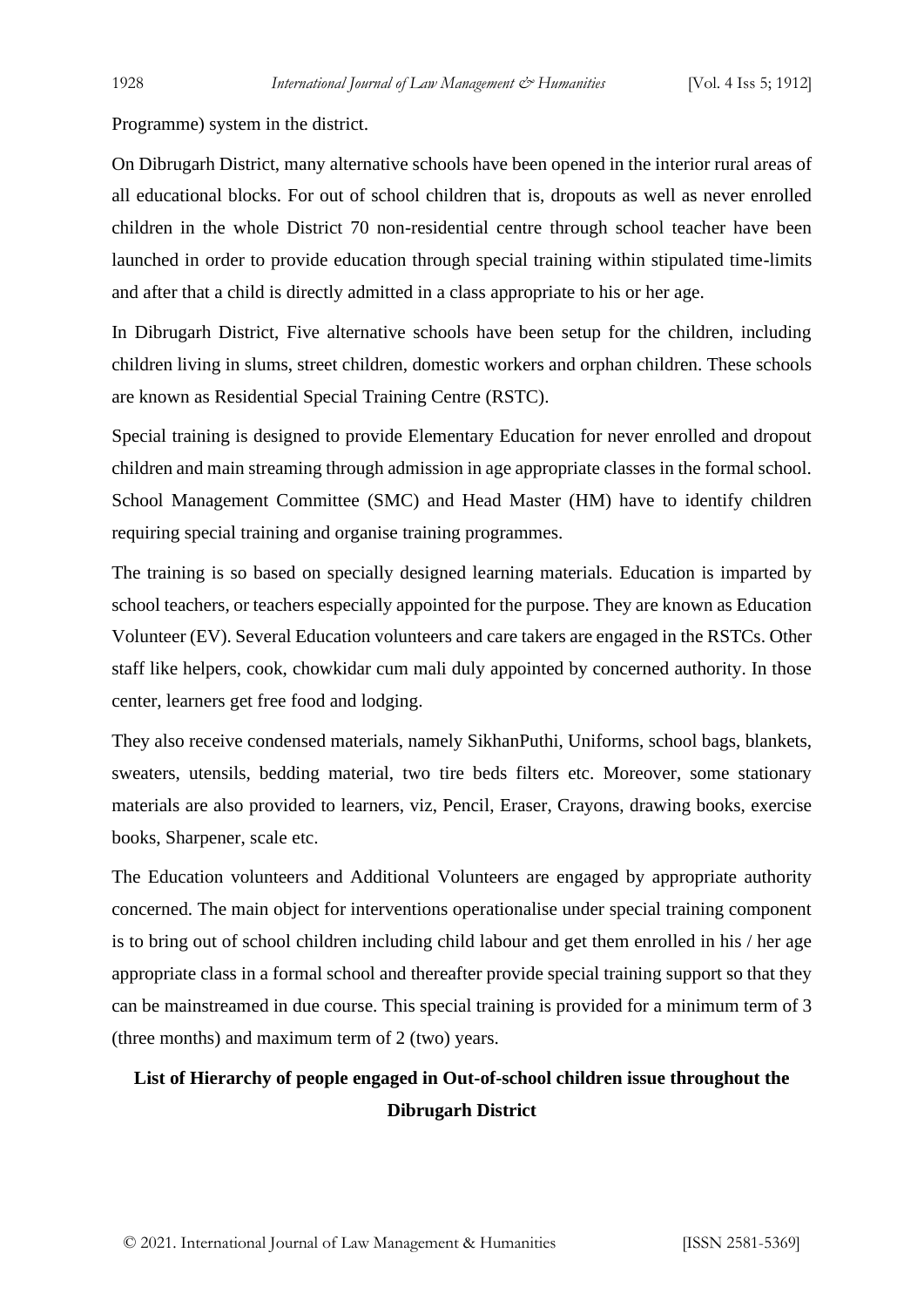Programme) system in the district.

On Dibrugarh District, many alternative schools have been opened in the interior rural areas of all educational blocks. For out of school children that is, dropouts as well as never enrolled children in the whole District 70 non-residential centre through school teacher have been launched in order to provide education through special training within stipulated time-limits and after that a child is directly admitted in a class appropriate to his or her age.

In Dibrugarh District, Five alternative schools have been setup for the children, including children living in slums, street children, domestic workers and orphan children. These schools are known as Residential Special Training Centre (RSTC).

Special training is designed to provide Elementary Education for never enrolled and dropout children and main streaming through admission in age appropriate classes in the formal school. School Management Committee (SMC) and Head Master (HM) have to identify children requiring special training and organise training programmes.

The training is so based on specially designed learning materials. Education is imparted by school teachers, or teachers especially appointed for the purpose. They are known as Education Volunteer (EV). Several Education volunteers and care takers are engaged in the RSTCs. Other staff like helpers, cook, chowkidar cum mali duly appointed by concerned authority. In those center, learners get free food and lodging.

They also receive condensed materials, namely SikhanPuthi, Uniforms, school bags, blankets, sweaters, utensils, bedding material, two tire beds filters etc. Moreover, some stationary materials are also provided to learners, viz, Pencil, Eraser, Crayons, drawing books, exercise books, Sharpener, scale etc.

The Education volunteers and Additional Volunteers are engaged by appropriate authority concerned. The main object for interventions operationalise under special training component is to bring out of school children including child labour and get them enrolled in his / her age appropriate class in a formal school and thereafter provide special training support so that they can be mainstreamed in due course. This special training is provided for a minimum term of 3 (three months) and maximum term of 2 (two) years.

### **List of Hierarchy of people engaged in Out-of-school children issue throughout the Dibrugarh District**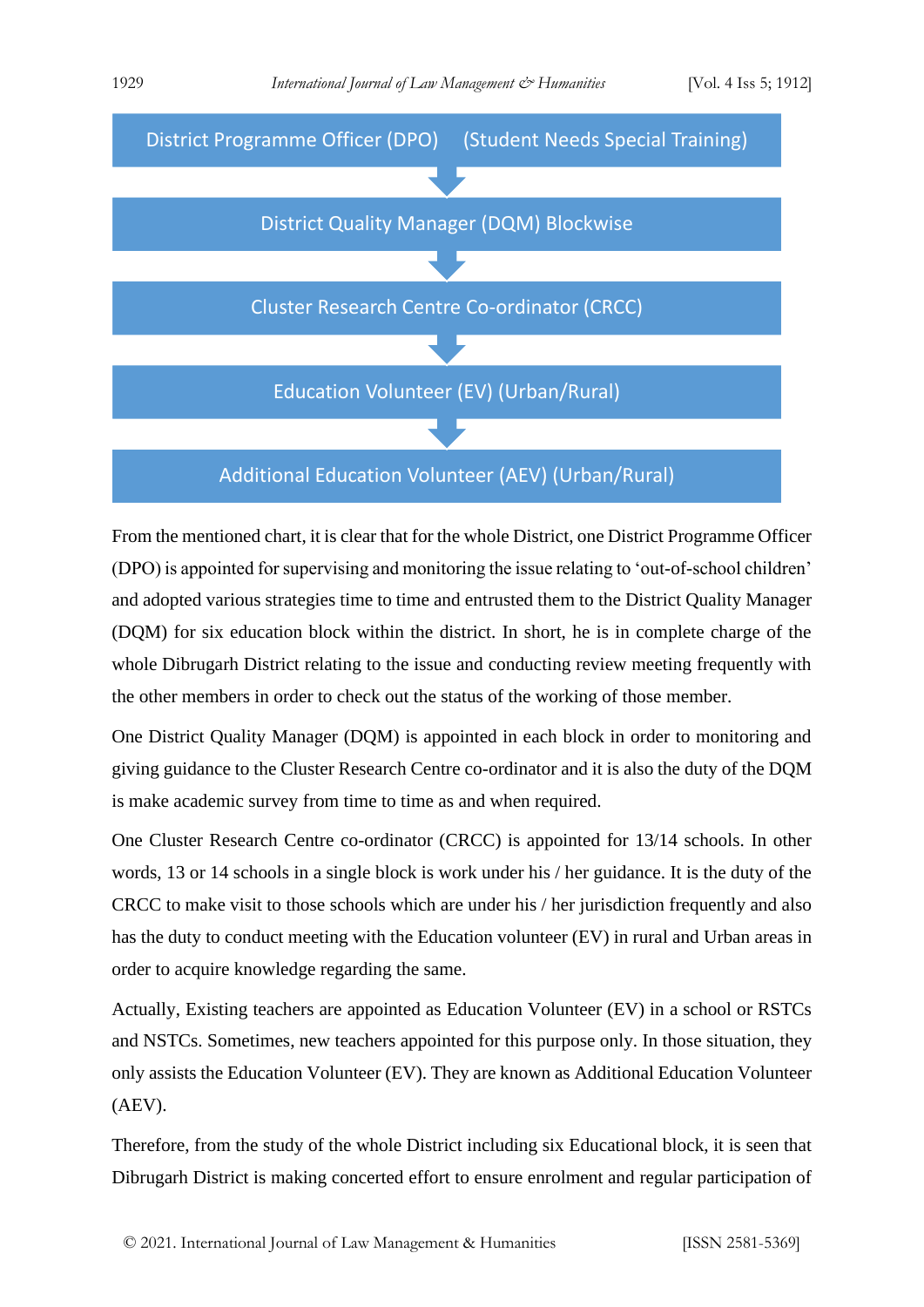

From the mentioned chart, it is clear that for the whole District, one District Programme Officer (DPO) is appointed for supervising and monitoring the issue relating to 'out-of-school children' and adopted various strategies time to time and entrusted them to the District Quality Manager (DQM) for six education block within the district. In short, he is in complete charge of the whole Dibrugarh District relating to the issue and conducting review meeting frequently with the other members in order to check out the status of the working of those member.

One District Quality Manager (DQM) is appointed in each block in order to monitoring and giving guidance to the Cluster Research Centre co-ordinator and it is also the duty of the DQM is make academic survey from time to time as and when required.

One Cluster Research Centre co-ordinator (CRCC) is appointed for 13/14 schools. In other words, 13 or 14 schools in a single block is work under his / her guidance. It is the duty of the CRCC to make visit to those schools which are under his / her jurisdiction frequently and also has the duty to conduct meeting with the Education volunteer (EV) in rural and Urban areas in order to acquire knowledge regarding the same.

Actually, Existing teachers are appointed as Education Volunteer (EV) in a school or RSTCs and NSTCs. Sometimes, new teachers appointed for this purpose only. In those situation, they only assists the Education Volunteer (EV). They are known as Additional Education Volunteer (AEV).

Therefore, from the study of the whole District including six Educational block, it is seen that Dibrugarh District is making concerted effort to ensure enrolment and regular participation of